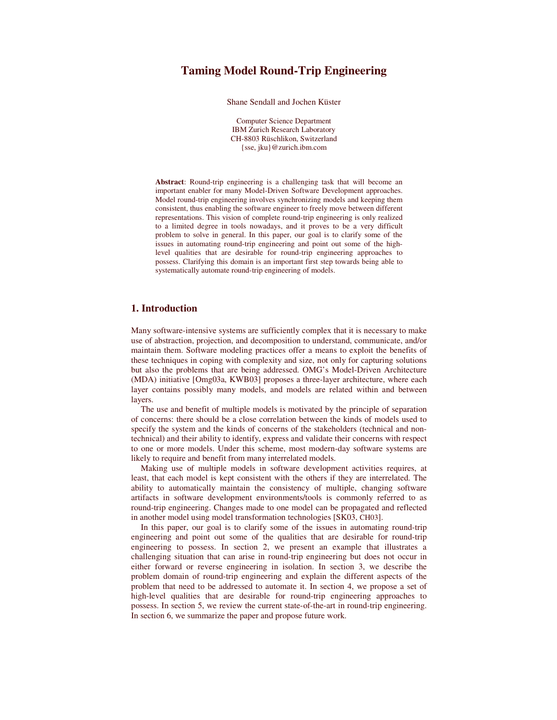Shane Sendall and Jochen Küster

Computer Science Department IBM Zurich Research Laboratory CH-8803 Rüschlikon, Switzerland {sse, jku}@zurich.ibm.com

**Abstract**: Round-trip engineering is a challenging task that will become an important enabler for many Model-Driven Software Development approaches. Model round-trip engineering involves synchronizing models and keeping them consistent, thus enabling the software engineer to freely move between different representations. This vision of complete round-trip engineering is only realized to a limited degree in tools nowadays, and it proves to be a very difficult problem to solve in general. In this paper, our goal is to clarify some of the issues in automating round-trip engineering and point out some of the highlevel qualities that are desirable for round-trip engineering approaches to possess. Clarifying this domain is an important first step towards being able to systematically automate round-trip engineering of models.

# **1. Introduction**

Many software-intensive systems are sufficiently complex that it is necessary to make use of abstraction, projection, and decomposition to understand, communicate, and/or maintain them. Software modeling practices offer a means to exploit the benefits of these techniques in coping with complexity and size, not only for capturing solutions but also the problems that are being addressed. OMG's Model-Driven Architecture (MDA) initiative [Omg03a, KWB03] proposes a three-layer architecture, where each layer contains possibly many models, and models are related within and between layers.

The use and benefit of multiple models is motivated by the principle of separation of concerns: there should be a close correlation between the kinds of models used to specify the system and the kinds of concerns of the stakeholders (technical and nontechnical) and their ability to identify, express and validate their concerns with respect to one or more models. Under this scheme, most modern-day software systems are likely to require and benefit from many interrelated models.

Making use of multiple models in software development activities requires, at least, that each model is kept consistent with the others if they are interrelated. The ability to automatically maintain the consistency of multiple, changing software artifacts in software development environments/tools is commonly referred to as round-trip engineering. Changes made to one model can be propagated and reflected in another model using model transformation technologies [SK03, CH03].

In this paper, our goal is to clarify some of the issues in automating round-trip engineering and point out some of the qualities that are desirable for round-trip engineering to possess. In section 2, we present an example that illustrates a challenging situation that can arise in round-trip engineering but does not occur in either forward or reverse engineering in isolation. In section 3, we describe the problem domain of round-trip engineering and explain the different aspects of the problem that need to be addressed to automate it. In section 4, we propose a set of high-level qualities that are desirable for round-trip engineering approaches to possess. In section 5, we review the current state-of-the-art in round-trip engineering. In section 6, we summarize the paper and propose future work.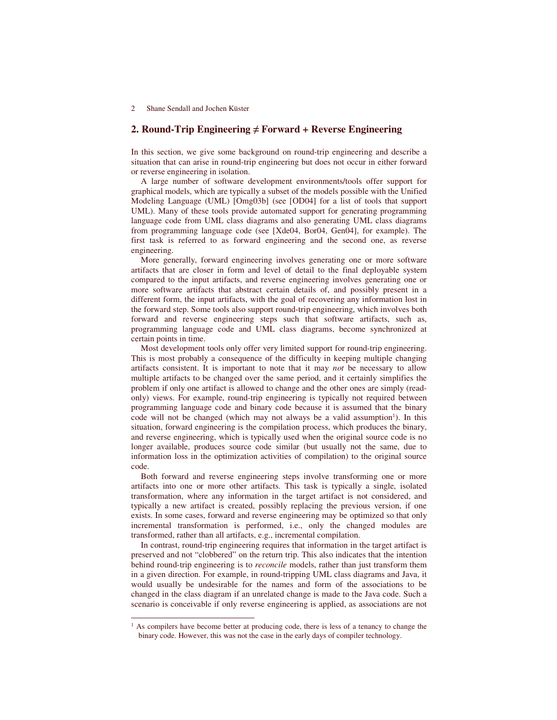# **2. Round-Trip Engineering Forward + Reverse Engineering**

In this section, we give some background on round-trip engineering and describe a situation that can arise in round-trip engineering but does not occur in either forward or reverse engineering in isolation.

A large number of software development environments/tools offer support for graphical models, which are typically a subset of the models possible with the Unified Modeling Language (UML) [Omg03b] (see [OD04] for a list of tools that support UML). Many of these tools provide automated support for generating programming language code from UML class diagrams and also generating UML class diagrams from programming language code (see [Xde04, Bor04, Gen04], for example). The first task is referred to as forward engineering and the second one, as reverse engineering.

More generally, forward engineering involves generating one or more software artifacts that are closer in form and level of detail to the final deployable system compared to the input artifacts, and reverse engineering involves generating one or more software artifacts that abstract certain details of, and possibly present in a different form, the input artifacts, with the goal of recovering any information lost in the forward step. Some tools also support round-trip engineering, which involves both forward and reverse engineering steps such that software artifacts, such as, programming language code and UML class diagrams, become synchronized at certain points in time.

Most development tools only offer very limited support for round-trip engineering. This is most probably a consequence of the difficulty in keeping multiple changing artifacts consistent. It is important to note that it may *not* be necessary to allow multiple artifacts to be changed over the same period, and it certainly simplifies the problem if only one artifact is allowed to change and the other ones are simply (readonly) views. For example, round-trip engineering is typically not required between programming language code and binary code because it is assumed that the binary code will not be changed (which may not always be a valid assumption 1 ). In this situation, forward engineering is the compilation process, which produces the binary, and reverse engineering, which is typically used when the original source code is no longer available, produces source code similar (but usually not the same, due to information loss in the optimization activities of compilation) to the original source code.

Both forward and reverse engineering steps involve transforming one or more artifacts into one or more other artifacts. This task is typically a single, isolated transformation, where any information in the target artifact is not considered, and typically a new artifact is created, possibly replacing the previous version, if one exists. In some cases, forward and reverse engineering may be optimized so that only incremental transformation is performed, i.e., only the changed modules are transformed, rather than all artifacts, e.g., incremental compilation.

In contrast, round-trip engineering requires that information in the target artifact is preserved and not "clobbered" on the return trip. This also indicates that the intention behind round-trip engineering is to *reconcile* models, rather than just transform them in a given direction. For example, in round-tripping UML class diagrams and Java, it would usually be undesirable for the names and form of the associations to be changed in the class diagram if an unrelated change is made to the Java code. Such a scenario is conceivable if only reverse engineering is applied, as associations are not

 $<sup>1</sup>$  As compilers have become better at producing code, there is less of a tenancy to change the</sup> binary code. However, this was not the case in the early days of compiler technology.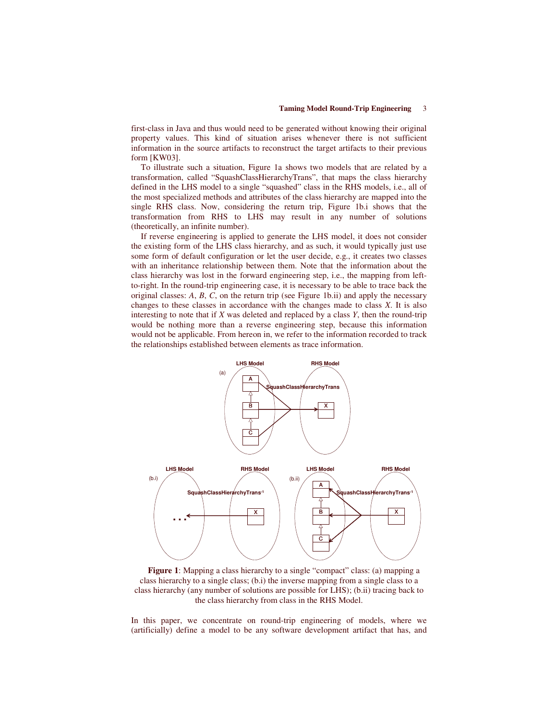first-class in Java and thus would need to be generated without knowing their original property values. This kind of situation arises whenever there is not sufficient information in the source artifacts to reconstruct the target artifacts to their previous form [KW03].

To illustrate such a situation, Figure 1a shows two models that are related by a transformation, called "SquashClassHierarchyTrans", that maps the class hierarchy defined in the LHS model to a single "squashed" class in the RHS models, i.e., all of the most specialized methods and attributes of the class hierarchy are mapped into the single RHS class. Now, considering the return trip, Figure 1b.i shows that the transformation from RHS to LHS may result in any number of solutions (theoretically, an infinite number).

If reverse engineering is applied to generate the LHS model, it does not consider the existing form of the LHS class hierarchy, and as such, it would typically just use some form of default configuration or let the user decide, e.g., it creates two classes with an inheritance relationship between them. Note that the information about the class hierarchy was lost in the forward engineering step, i.e., the mapping from leftto-right. In the round-trip engineering case, it is necessary to be able to trace back the original classes: *A*, *B*, *C*, on the return trip (see Figure 1b.ii) and apply the necessary changes to these classes in accordance with the changes made to class *X*. It is also interesting to note that if *X* was deleted and replaced by a class *Y*, then the round-trip would be nothing more than a reverse engineering step, because this information would not be applicable. From hereon in, we refer to the information recorded to track the relationships established between elements as trace information.



**Figure 1**: Mapping a class hierarchy to a single "compact" class: (a) mapping a class hierarchy to a single class; (b.i) the inverse mapping from a single class to a class hierarchy (any number of solutions are possible for LHS); (b.ii) tracing back to the class hierarchy from class in the RHS Model.

In this paper, we concentrate on round-trip engineering of models, where we (artificially) define a model to be any software development artifact that has, and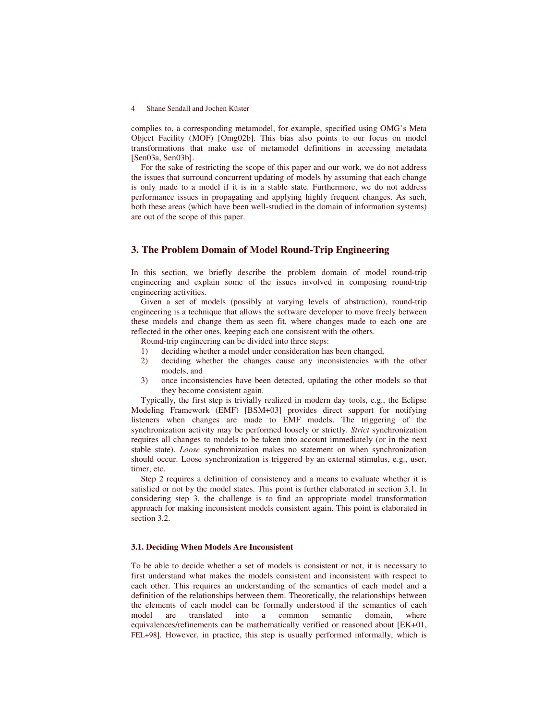complies to, a corresponding metamodel, for example, specified using OMG's Meta Object Facility (MOF) [Omg02b]. This bias also points to our focus on model transformations that make use of metamodel definitions in accessing metadata [Sen03a, Sen03b].

For the sake of restricting the scope of this paper and our work, we do not address the issues that surround concurrent updating of models by assuming that each change is only made to a model if it is in a stable state. Furthermore, we do not address performance issues in propagating and applying highly frequent changes. As such, both these areas (which have been well-studied in the domain of information systems) are out of the scope of this paper.

# **3. The Problem Domain of Model Round-Trip Engineering**

In this section, we briefly describe the problem domain of model round-trip engineering and explain some of the issues involved in composing round-trip engineering activities.

Given a set of models (possibly at varying levels of abstraction), round-trip engineering is a technique that allows the software developer to move freely between these models and change them as seen fit, where changes made to each one are reflected in the other ones, keeping each one consistent with the others.

Round-trip engineering can be divided into three steps:

- 1) deciding whether a model under consideration has been changed,
- 2) deciding whether the changes cause any inconsistencies with the other models, and
- 3) once inconsistencies have been detected, updating the other models so that they become consistent again.

Typically, the first step is trivially realized in modern day tools, e.g., the Eclipse Modeling Framework (EMF) [BSM+03] provides direct support for notifying listeners when changes are made to EMF models. The triggering of the synchronization activity may be performed loosely or strictly. *Strict* synchronization requires all changes to models to be taken into account immediately (or in the next stable state). *Loose* synchronization makes no statement on when synchronization should occur. Loose synchronization is triggered by an external stimulus, e.g., user, timer, etc.

Step 2 requires a definition of consistency and a means to evaluate whether it is satisfied or not by the model states. This point is further elaborated in section 3.1. In considering step 3, the challenge is to find an appropriate model transformation approach for making inconsistent models consistent again. This point is elaborated in section 3.2.

### **3.1. Deciding When Models Are Inconsistent**

To be able to decide whether a set of models is consistent or not, it is necessary to first understand what makes the models consistent and inconsistent with respect to each other. This requires an understanding of the semantics of each model and a definition of the relationships between them. Theoretically, the relationships between the elements of each model can be formally understood if the semantics of each model are translated into a common semantic domain, where equivalences/refinements can be mathematically verified or reasoned about [EK+01, FEL+98]. However, in practice, this step is usually performed informally, which is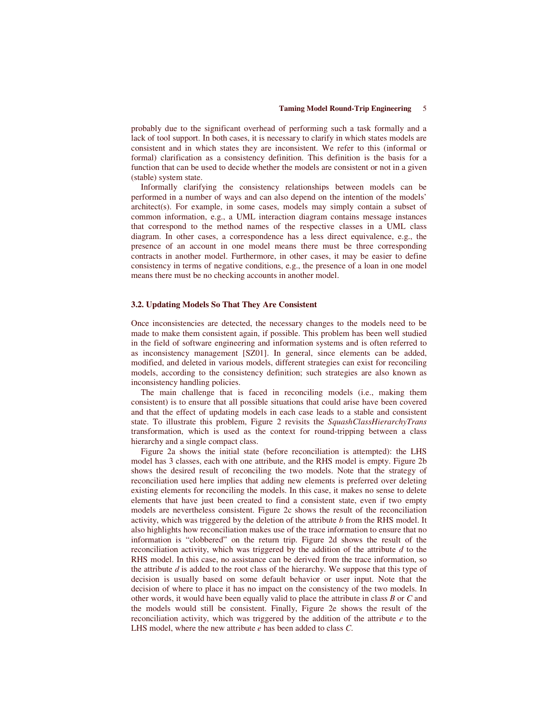probably due to the significant overhead of performing such a task formally and a lack of tool support. In both cases, it is necessary to clarify in which states models are consistent and in which states they are inconsistent. We refer to this (informal or formal) clarification as a consistency definition. This definition is the basis for a function that can be used to decide whether the models are consistent or not in a given (stable) system state.

Informally clarifying the consistency relationships between models can be performed in a number of ways and can also depend on the intention of the models' architect(s). For example, in some cases, models may simply contain a subset of common information, e.g., a UML interaction diagram contains message instances that correspond to the method names of the respective classes in a UML class diagram. In other cases, a correspondence has a less direct equivalence, e.g., the presence of an account in one model means there must be three corresponding contracts in another model. Furthermore, in other cases, it may be easier to define consistency in terms of negative conditions, e.g., the presence of a loan in one model means there must be no checking accounts in another model.

### **3.2. Updating Models So That They Are Consistent**

Once inconsistencies are detected, the necessary changes to the models need to be made to make them consistent again, if possible. This problem has been well studied in the field of software engineering and information systems and is often referred to as inconsistency management [SZ01]. In general, since elements can be added, modified, and deleted in various models, different strategies can exist for reconciling models, according to the consistency definition; such strategies are also known as inconsistency handling policies.

The main challenge that is faced in reconciling models (i.e., making them consistent) is to ensure that all possible situations that could arise have been covered and that the effect of updating models in each case leads to a stable and consistent state. To illustrate this problem, Figure 2 revisits the *SquashClassHierarchyTrans* transformation, which is used as the context for round-tripping between a class hierarchy and a single compact class.

Figure 2a shows the initial state (before reconciliation is attempted): the LHS model has 3 classes, each with one attribute, and the RHS model is empty. Figure 2b shows the desired result of reconciling the two models. Note that the strategy of reconciliation used here implies that adding new elements is preferred over deleting existing elements for reconciling the models. In this case, it makes no sense to delete elements that have just been created to find a consistent state, even if two empty models are nevertheless consistent. Figure 2c shows the result of the reconciliation activity, which was triggered by the deletion of the attribute *b* from the RHS model. It also highlights how reconciliation makes use of the trace information to ensure that no information is "clobbered" on the return trip. Figure 2d shows the result of the reconciliation activity, which was triggered by the addition of the attribute *d* to the RHS model. In this case, no assistance can be derived from the trace information, so the attribute *d* is added to the root class of the hierarchy. We suppose that this type of decision is usually based on some default behavior or user input. Note that the decision of where to place it has no impact on the consistency of the two models. In other words, it would have been equally valid to place the attribute in class *B* or *C* and the models would still be consistent. Finally, Figure 2e shows the result of the reconciliation activity, which was triggered by the addition of the attribute *e* to the LHS model, where the new attribute *e* has been added to class *C*.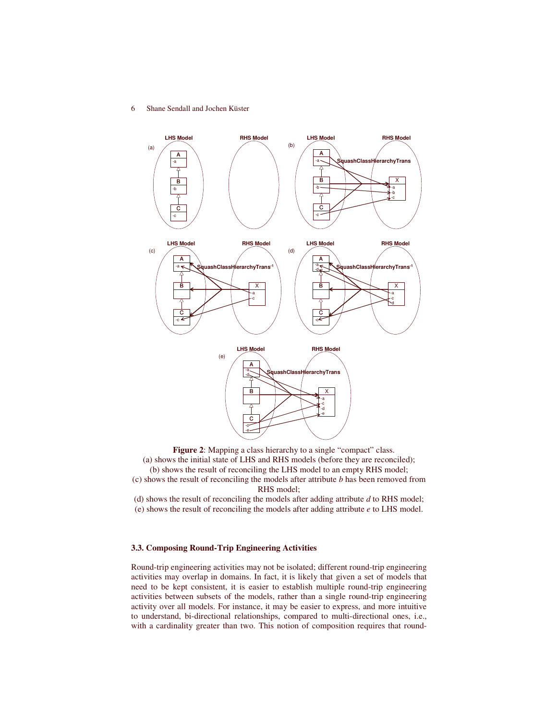

**Figure 2**: Mapping a class hierarchy to a single "compact" class. (a) shows the initial state of LHS and RHS models (before they are reconciled); (b) shows the result of reconciling the LHS model to an empty RHS model; (c) shows the result of reconciling the models after attribute *b* has been removed from RHS model;

(d) shows the result of reconciling the models after adding attribute *d* to RHS model; (e) shows the result of reconciling the models after adding attribute *e* to LHS model.

# **3.3. Composing Round-Trip Engineering Activities**

Round-trip engineering activities may not be isolated; different round-trip engineering activities may overlap in domains. In fact, it is likely that given a set of models that need to be kept consistent, it is easier to establish multiple round-trip engineering activities between subsets of the models, rather than a single round-trip engineering activity over all models. For instance, it may be easier to express, and more intuitive to understand, bi-directional relationships, compared to multi-directional ones, i.e., with a cardinality greater than two. This notion of composition requires that round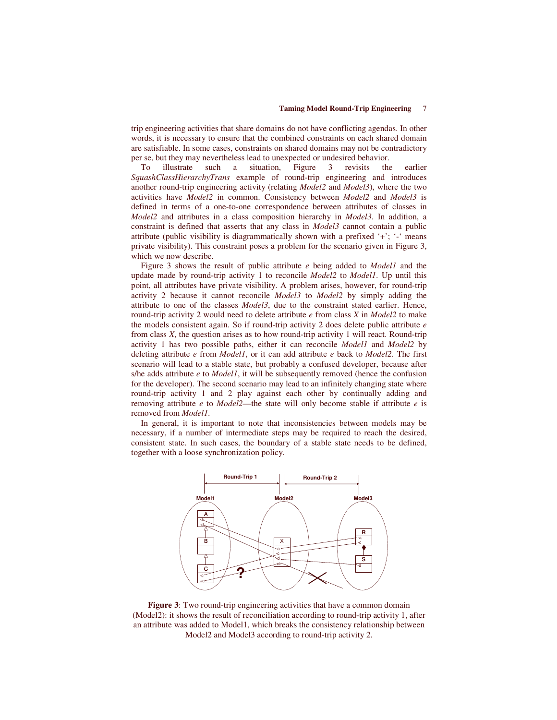trip engineering activities that share domains do not have conflicting agendas. In other words, it is necessary to ensure that the combined constraints on each shared domain are satisfiable. In some cases, constraints on shared domains may not be contradictory per se, but they may nevertheless lead to unexpected or undesired behavior.

To illustrate such a situation, Figure 3 revisits the earlier *SquashClassHierarchyTrans* example of round-trip engineering and introduces another round-trip engineering activity (relating *Model2* and *Model3*), where the two activities have *Model2* in common. Consistency between *Model2* and *Model3* is defined in terms of a one-to-one correspondence between attributes of classes in *Model2* and attributes in a class composition hierarchy in *Model3*. In addition, a constraint is defined that asserts that any class in *Model3* cannot contain a public attribute (public visibility is diagrammatically shown with a prefixed '+'; '-' means private visibility). This constraint poses a problem for the scenario given in Figure 3, which we now describe.

Figure 3 shows the result of public attribute *e* being added to *Model1* and the update made by round-trip activity 1 to reconcile *Model2* to *Model1*. Up until this point, all attributes have private visibility. A problem arises, however, for round-trip activity 2 because it cannot reconcile *Model3* to *Model2* by simply adding the attribute to one of the classes *Model3*, due to the constraint stated earlier. Hence, round-trip activity 2 would need to delete attribute *e* from class *X* in *Model2* to make the models consistent again. So if round-trip activity 2 does delete public attribute *e* from class *X*, the question arises as to how round-trip activity 1 will react. Round-trip activity 1 has two possible paths, either it can reconcile *Model1* and *Model2* by deleting attribute *e* from *Model1*, or it can add attribute *e* back to *Model2*. The first scenario will lead to a stable state, but probably a confused developer, because after s/he adds attribute *e* to *Model1*, it will be subsequently removed (hence the confusion for the developer). The second scenario may lead to an infinitely changing state where round-trip activity 1 and 2 play against each other by continually adding and removing attribute *e* to *Model2*—the state will only become stable if attribute *e* is removed from *Model1*.

In general, it is important to note that inconsistencies between models may be necessary, if a number of intermediate steps may be required to reach the desired, consistent state. In such cases, the boundary of a stable state needs to be defined, together with a loose synchronization policy.



**Figure 3**: Two round-trip engineering activities that have a common domain (Model2): it shows the result of reconciliation according to round-trip activity 1, after an attribute was added to Model1, which breaks the consistency relationship between Model2 and Model3 according to round-trip activity 2.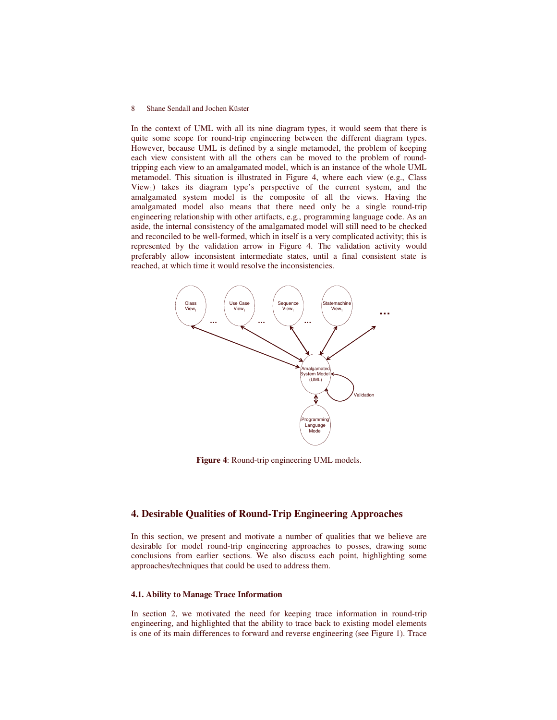In the context of UML with all its nine diagram types, it would seem that there is quite some scope for round-trip engineering between the different diagram types. However, because UML is defined by a single metamodel, the problem of keeping each view consistent with all the others can be moved to the problem of roundtripping each view to an amalgamated model, which is an instance of the whole UML metamodel. This situation is illustrated in Figure 4, where each view (e.g., Class  $View<sub>1</sub>$ ) takes its diagram type's perspective of the current system, and the amalgamated system model is the composite of all the views. Having the amalgamated model also means that there need only be a single round-trip engineering relationship with other artifacts, e.g., programming language code. As an aside, the internal consistency of the amalgamated model will still need to be checked and reconciled to be well-formed, which in itself is a very complicated activity; this is represented by the validation arrow in Figure 4. The validation activity would preferably allow inconsistent intermediate states, until a final consistent state is reached, at which time it would resolve the inconsistencies.



**Figure 4**: Round-trip engineering UML models.

# **4. Desirable Qualities of Round-Trip Engineering Approaches**

In this section, we present and motivate a number of qualities that we believe are desirable for model round-trip engineering approaches to posses, drawing some conclusions from earlier sections. We also discuss each point, highlighting some approaches/techniques that could be used to address them.

## **4.1. Ability to Manage Trace Information**

In section 2, we motivated the need for keeping trace information in round-trip engineering, and highlighted that the ability to trace back to existing model elements is one of its main differences to forward and reverse engineering (see Figure 1). Trace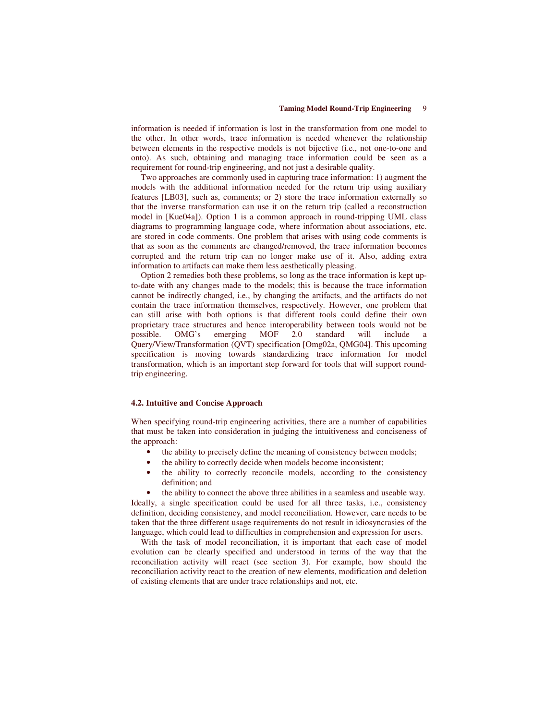information is needed if information is lost in the transformation from one model to the other. In other words, trace information is needed whenever the relationship between elements in the respective models is not bijective (i.e., not one-to-one and onto). As such, obtaining and managing trace information could be seen as a requirement for round-trip engineering, and not just a desirable quality.

Two approaches are commonly used in capturing trace information: 1) augment the models with the additional information needed for the return trip using auxiliary features [LB03], such as, comments; or 2) store the trace information externally so that the inverse transformation can use it on the return trip (called a reconstruction model in [Kue04a]). Option 1 is a common approach in round-tripping UML class diagrams to programming language code, where information about associations, etc. are stored in code comments. One problem that arises with using code comments is that as soon as the comments are changed/removed, the trace information becomes corrupted and the return trip can no longer make use of it. Also, adding extra information to artifacts can make them less aesthetically pleasing.

Option 2 remedies both these problems, so long as the trace information is kept upto-date with any changes made to the models; this is because the trace information cannot be indirectly changed, i.e., by changing the artifacts, and the artifacts do not contain the trace information themselves, respectively. However, one problem that can still arise with both options is that different tools could define their own proprietary trace structures and hence interoperability between tools would not be possible. OMG's emerging MOF 2.0 standard will include a Query/View/Transformation (QVT) specification [Omg02a, QMG04]. This upcoming specification is moving towards standardizing trace information for model transformation, which is an important step forward for tools that will support roundtrip engineering.

#### **4.2. Intuitive and Concise Approach**

When specifying round-trip engineering activities, there are a number of capabilities that must be taken into consideration in judging the intuitiveness and conciseness of the approach:

- the ability to precisely define the meaning of consistency between models;
- the ability to correctly decide when models become inconsistent;
- the ability to correctly reconcile models, according to the consistency definition; and

the ability to connect the above three abilities in a seamless and useable way. Ideally, a single specification could be used for all three tasks, i.e., consistency definition, deciding consistency, and model reconciliation. However, care needs to be taken that the three different usage requirements do not result in idiosyncrasies of the language, which could lead to difficulties in comprehension and expression for users.

With the task of model reconciliation, it is important that each case of model evolution can be clearly specified and understood in terms of the way that the reconciliation activity will react (see section 3). For example, how should the reconciliation activity react to the creation of new elements, modification and deletion of existing elements that are under trace relationships and not, etc.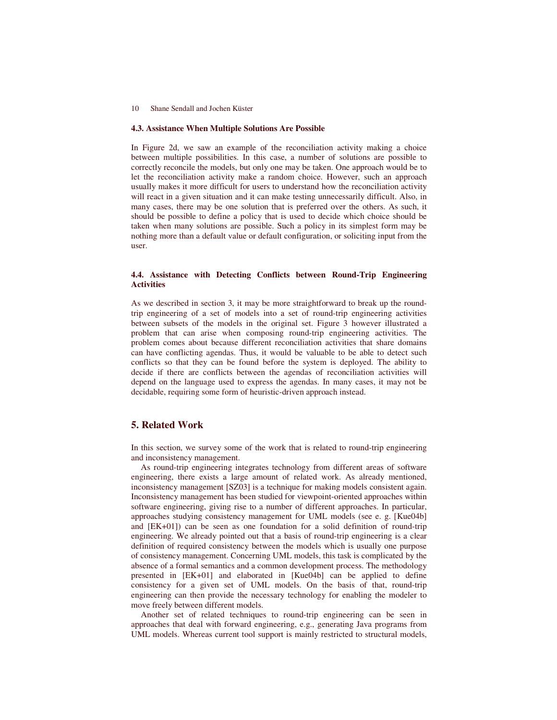### **4.3. Assistance When Multiple Solutions Are Possible**

In Figure 2d, we saw an example of the reconciliation activity making a choice between multiple possibilities. In this case, a number of solutions are possible to correctly reconcile the models, but only one may be taken. One approach would be to let the reconciliation activity make a random choice. However, such an approach usually makes it more difficult for users to understand how the reconciliation activity will react in a given situation and it can make testing unnecessarily difficult. Also, in many cases, there may be one solution that is preferred over the others. As such, it should be possible to define a policy that is used to decide which choice should be taken when many solutions are possible. Such a policy in its simplest form may be nothing more than a default value or default configuration, or soliciting input from the user.

## **4.4. Assistance with Detecting Conflicts between Round-Trip Engineering Activities**

As we described in section 3, it may be more straightforward to break up the roundtrip engineering of a set of models into a set of round-trip engineering activities between subsets of the models in the original set. Figure 3 however illustrated a problem that can arise when composing round-trip engineering activities. The problem comes about because different reconciliation activities that share domains can have conflicting agendas. Thus, it would be valuable to be able to detect such conflicts so that they can be found before the system is deployed. The ability to decide if there are conflicts between the agendas of reconciliation activities will depend on the language used to express the agendas. In many cases, it may not be decidable, requiring some form of heuristic-driven approach instead.

# **5. Related Work**

In this section, we survey some of the work that is related to round-trip engineering and inconsistency management.

As round-trip engineering integrates technology from different areas of software engineering, there exists a large amount of related work. As already mentioned, inconsistency management [SZ03] is a technique for making models consistent again. Inconsistency management has been studied for viewpoint-oriented approaches within software engineering, giving rise to a number of different approaches. In particular, approaches studying consistency management for UML models (see e. g. [Kue04b] and [EK+01]) can be seen as one foundation for a solid definition of round-trip engineering. We already pointed out that a basis of round-trip engineering is a clear definition of required consistency between the models which is usually one purpose of consistency management. Concerning UML models, this task is complicated by the absence of a formal semantics and a common development process. The methodology presented in [EK+01] and elaborated in [Kue04b] can be applied to define consistency for a given set of UML models. On the basis of that, round-trip engineering can then provide the necessary technology for enabling the modeler to move freely between different models.

Another set of related techniques to round-trip engineering can be seen in approaches that deal with forward engineering, e.g., generating Java programs from UML models. Whereas current tool support is mainly restricted to structural models,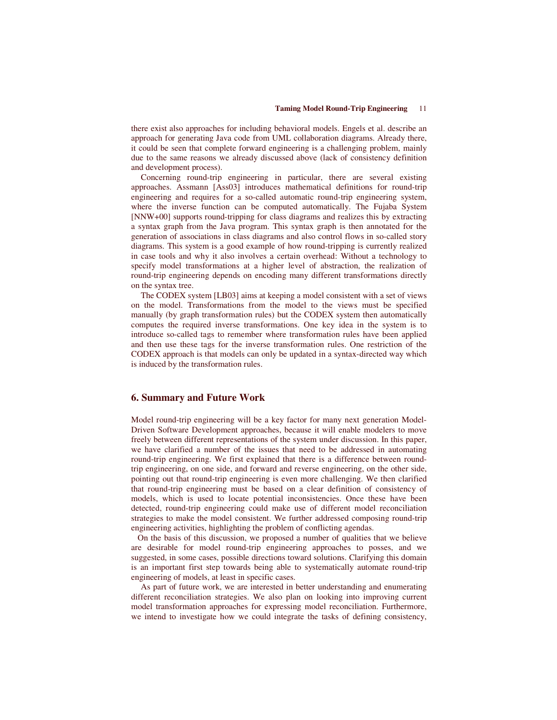there exist also approaches for including behavioral models. Engels et al. describe an approach for generating Java code from UML collaboration diagrams. Already there, it could be seen that complete forward engineering is a challenging problem, mainly due to the same reasons we already discussed above (lack of consistency definition and development process).

Concerning round-trip engineering in particular, there are several existing approaches. Assmann [Ass03] introduces mathematical definitions for round-trip engineering and requires for a so-called automatic round-trip engineering system, where the inverse function can be computed automatically. The Fujaba System [NNW+00] supports round-tripping for class diagrams and realizes this by extracting a syntax graph from the Java program. This syntax graph is then annotated for the generation of associations in class diagrams and also control flows in so-called story diagrams. This system is a good example of how round-tripping is currently realized in case tools and why it also involves a certain overhead: Without a technology to specify model transformations at a higher level of abstraction, the realization of round-trip engineering depends on encoding many different transformations directly on the syntax tree.

The CODEX system [LB03] aims at keeping a model consistent with a set of views on the model. Transformations from the model to the views must be specified manually (by graph transformation rules) but the CODEX system then automatically computes the required inverse transformations. One key idea in the system is to introduce so-called tags to remember where transformation rules have been applied and then use these tags for the inverse transformation rules. One restriction of the CODEX approach is that models can only be updated in a syntax-directed way which is induced by the transformation rules.

## **6. Summary and Future Work**

Model round-trip engineering will be a key factor for many next generation Model-Driven Software Development approaches, because it will enable modelers to move freely between different representations of the system under discussion. In this paper, we have clarified a number of the issues that need to be addressed in automating round-trip engineering. We first explained that there is a difference between roundtrip engineering, on one side, and forward and reverse engineering, on the other side, pointing out that round-trip engineering is even more challenging. We then clarified that round-trip engineering must be based on a clear definition of consistency of models, which is used to locate potential inconsistencies. Once these have been detected, round-trip engineering could make use of different model reconciliation strategies to make the model consistent. We further addressed composing round-trip engineering activities, highlighting the problem of conflicting agendas.

On the basis of this discussion, we proposed a number of qualities that we believe are desirable for model round-trip engineering approaches to posses, and we suggested, in some cases, possible directions toward solutions. Clarifying this domain is an important first step towards being able to systematically automate round-trip engineering of models, at least in specific cases.

As part of future work, we are interested in better understanding and enumerating different reconciliation strategies. We also plan on looking into improving current model transformation approaches for expressing model reconciliation. Furthermore, we intend to investigate how we could integrate the tasks of defining consistency,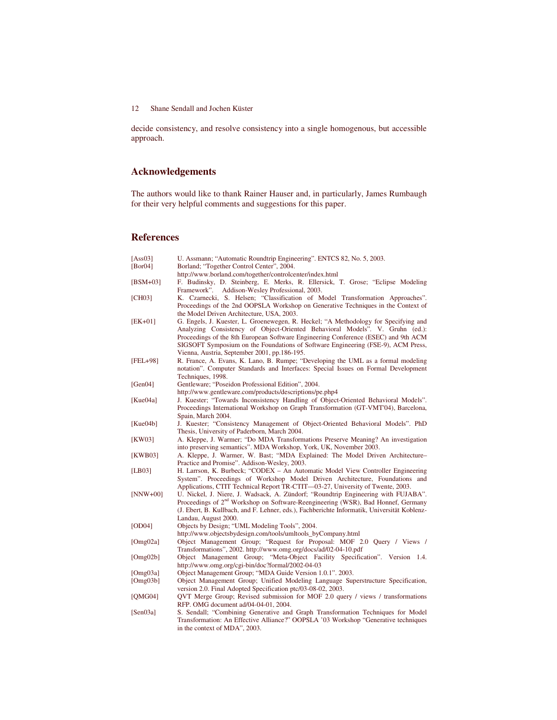decide consistency, and resolve consistency into a single homogenous, but accessible approach.

# **Acknowledgements**

The authors would like to thank Rainer Hauser and, in particularly, James Rumbaugh for their very helpful comments and suggestions for this paper.

# **References**

| [Ass03]      | U. Assmann; "Automatic Roundtrip Engineering". ENTCS 82, No. 5, 2003.                        |
|--------------|----------------------------------------------------------------------------------------------|
| [ $Bor04$ ]  | Borland; "Together Control Center", 2004.                                                    |
|              | http://www.borland.com/together/controlcenter/index.html                                     |
| $[BSM+03]$   | F. Budinsky, D. Steinberg, E. Merks, R. Ellersick, T. Grose; "Eclipse Modeling               |
|              | Framework". Addison-Wesley Professional, 2003.                                               |
| [CH03]       | K. Czarnecki, S. Helsen; "Classification of Model Transformation Approaches".                |
|              | Proceedings of the 2nd OOPSLA Workshop on Generative Techniques in the Context of            |
|              | the Model Driven Architecture, USA, 2003.                                                    |
| [EK+01]      | G. Engels, J. Kuester, L. Groenewegen, R. Heckel; "A Methodology for Specifying and          |
|              | Analyzing Consistency of Object-Oriented Behavioral Models". V. Gruhn (ed.):                 |
|              | Proceedings of the 8th European Software Engineering Conference (ESEC) and 9th ACM           |
|              | SIGSOFT Symposium on the Foundations of Software Engineering (FSE-9), ACM Press,             |
|              | Vienna, Austria, September 2001, pp.186-195.                                                 |
| [FEL+98]     | R. France, A. Evans, K. Lano, B. Rumpe; "Developing the UML as a formal modeling             |
|              | notation". Computer Standards and Interfaces: Special Issues on Formal Development           |
|              | Techniques, 1998.                                                                            |
| [ $Gen04$ ]  | Gentleware; "Poseidon Professional Edition", 2004.                                           |
|              | http://www.gentleware.com/products/descriptions/pe.php4                                      |
| [Kue04a]     | J. Kuester; "Towards Inconsistency Handling of Object-Oriented Behavioral Models".           |
|              | Proceedings International Workshop on Graph Transformation (GT-VMT'04), Barcelona,           |
|              | Spain, March 2004.                                                                           |
| [Kue04b]     | J. Kuester; "Consistency Management of Object-Oriented Behavioral Models". PhD               |
|              | Thesis, University of Paderborn, March 2004.                                                 |
| [KW03]       | A. Kleppe, J. Warmer; "Do MDA Transformations Preserve Meaning? An investigation             |
|              | into preserving semantics". MDA Workshop, York, UK, November 2003.                           |
| [KWB03]      | A. Kleppe, J. Warmer, W. Bast; "MDA Explained: The Model Driven Architecture-                |
|              | Practice and Promise". Addison-Wesley, 2003.                                                 |
| [LB03]       | H. Larrson, K. Burbeck; "CODEX - An Automatic Model View Controller Engineering              |
|              | System". Proceedings of Workshop Model Driven Architecture, Foundations and                  |
|              | Applications, CTIT Technical Report TR-CTIT—03-27, University of Twente, 2003.               |
| $[NNW+00]$   | U. Nickel, J. Niere, J. Wadsack, A. Zündorf; "Roundtrip Engineering with FUJABA".            |
|              | Proceedings of 2 <sup>nd</sup> Workshop on Software-Reengineering (WSR), Bad Honnef, Germany |
|              | (J. Ebert, B. Kullbach, and F. Lehner, eds.), Fachberichte Informatik, Universität Koblenz-  |
|              | Landau, August 2000.                                                                         |
| [OD04]       | Objects by Design; "UML Modeling Tools", 2004.                                               |
|              | http://www.objectsbydesign.com/tools/umltools_byCompany.html                                 |
| [ $Omg02a$ ] | Object Management Group; "Request for Proposal: MOF 2.0 Query / Views /                      |
|              | Transformations", 2002. http://www.omg.org/docs/ad/02-04-10.pdf                              |
| [Omg $02b$ ] | Object Management Group; "Meta-Object Facility Specification". Version<br>-1.4.              |
|              | http://www.omg.org/cgi-bin/doc?formal/2002-04-03                                             |
| [Omg03a]     | Object Management Group; "MDA Guide Version 1.0.1". 2003.                                    |
| [Omg $03b$ ] | Object Management Group; Unified Modeling Language Superstructure Specification,             |
|              | version 2.0. Final Adopted Specification ptc/03-08-02, 2003.                                 |
| [QMG04]      | QVT Merge Group; Revised submission for MOF 2.0 query / views / transformations              |
|              | RFP. OMG document ad/04-04-01, 2004.                                                         |
| [Sen03a]     | S. Sendall; "Combining Generative and Graph Transformation Techniques for Model              |
|              | Transformation: An Effective Alliance?" OOPSLA '03 Workshop "Generative techniques           |

in the context of MDA", 2003.